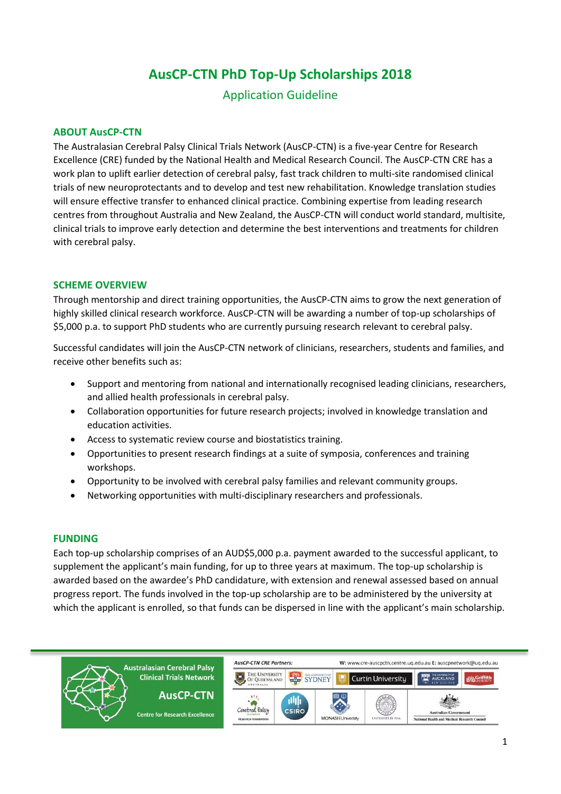# **AusCP-CTN PhD Top-Up Scholarships 2018**

Application Guideline

### **ABOUT AusCP-CTN**

The Australasian Cerebral Palsy Clinical Trials Network (AusCP-CTN) is a five-year Centre for Research Excellence (CRE) funded by the National Health and Medical Research Council. The AusCP-CTN CRE has a work plan to uplift earlier detection of cerebral palsy, fast track children to multi-site randomised clinical trials of new neuroprotectants and to develop and test new rehabilitation. Knowledge translation studies will ensure effective transfer to enhanced clinical practice. Combining expertise from leading research centres from throughout Australia and New Zealand, the AusCP-CTN will conduct world standard, multisite, clinical trials to improve early detection and determine the best interventions and treatments for children with cerebral palsy.

#### **SCHEME OVERVIEW**

Through mentorship and direct training opportunities, the AusCP-CTN aims to grow the next generation of highly skilled clinical research workforce. AusCP-CTN will be awarding a number of top-up scholarships of \$5,000 p.a. to support PhD students who are currently pursuing research relevant to cerebral palsy.

Successful candidates will join the AusCP-CTN network of clinicians, researchers, students and families, and receive other benefits such as:

- Support and mentoring from national and internationally recognised leading clinicians, researchers, and allied health professionals in cerebral palsy.
- Collaboration opportunities for future research projects; involved in knowledge translation and education activities.
- Access to systematic review course and biostatistics training.
- Opportunities to present research findings at a suite of symposia, conferences and training workshops.
- Opportunity to be involved with cerebral palsy families and relevant community groups.
- Networking opportunities with multi-disciplinary researchers and professionals.

#### **FUNDING**

Each top-up scholarship comprises of an AUD\$5,000 p.a. payment awarded to the successful applicant, to supplement the applicant's main funding, for up to three years at maximum. The top-up scholarship is awarded based on the awardee's PhD candidature, with extension and renewal assessed based on annual progress report. The funds involved in the top-up scholarship are to be administered by the university at which the applicant is enrolled, so that funds can be dispersed in line with the applicant's main scholarship.

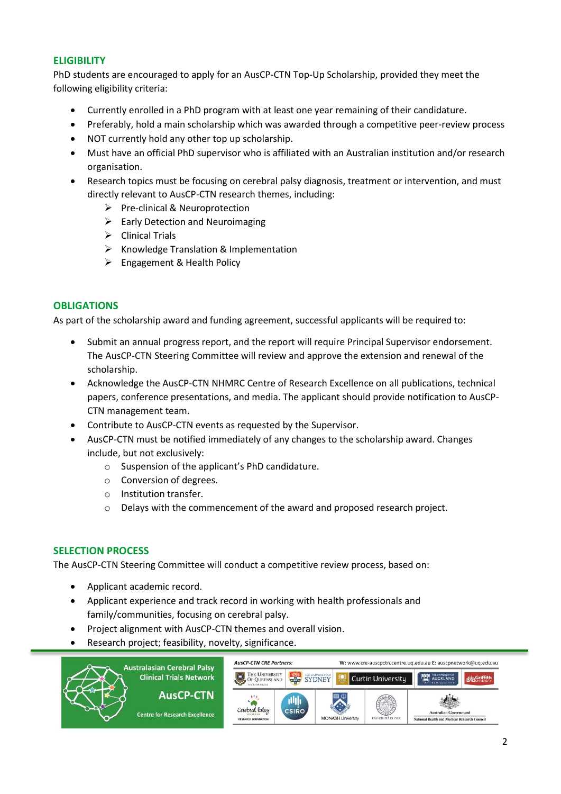## **ELIGIBILITY**

PhD students are encouraged to apply for an AusCP-CTN Top-Up Scholarship, provided they meet the following eligibility criteria:

- Currently enrolled in a PhD program with at least one year remaining of their candidature.
- Preferably, hold a main scholarship which was awarded through a competitive peer-review process
- NOT currently hold any other top up scholarship.
- Must have an official PhD supervisor who is affiliated with an Australian institution and/or research organisation.
- Research topics must be focusing on cerebral palsy diagnosis, treatment or intervention, and must directly relevant to AusCP-CTN research themes, including:
	- $\triangleright$  Pre-clinical & Neuroprotection
	- $\triangleright$  Early Detection and Neuroimaging
	- $\triangleright$  Clinical Trials
	- $\triangleright$  Knowledge Translation & Implementation
	- Engagement & Health Policy

### **OBLIGATIONS**

As part of the scholarship award and funding agreement, successful applicants will be required to:

- Submit an annual progress report, and the report will require Principal Supervisor endorsement. The AusCP-CTN Steering Committee will review and approve the extension and renewal of the scholarship.
- Acknowledge the AusCP-CTN NHMRC Centre of Research Excellence on all publications, technical papers, conference presentations, and media. The applicant should provide notification to AusCP-CTN management team.
- Contribute to AusCP-CTN events as requested by the Supervisor.
- AusCP-CTN must be notified immediately of any changes to the scholarship award. Changes include, but not exclusively:
	- o Suspension of the applicant's PhD candidature.
	- o Conversion of degrees.
	- o Institution transfer.
	- o Delays with the commencement of the award and proposed research project.

#### **SELECTION PROCESS**

The AusCP-CTN Steering Committee will conduct a competitive review process, based on:

- Applicant academic record.
- Applicant experience and track record in working with health professionals and family/communities, focusing on cerebral palsy.
- Project alignment with AusCP-CTN themes and overall vision.
- Research project; feasibility, novelty, significance.

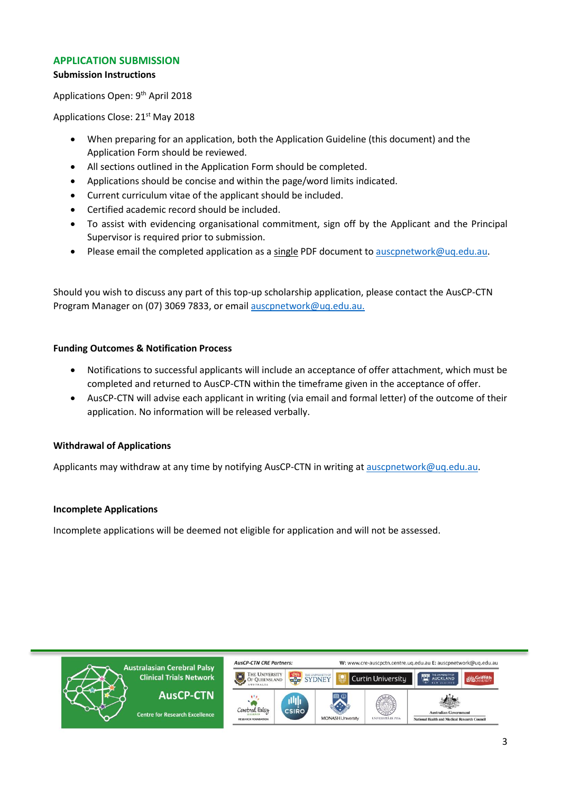## **APPLICATION SUBMISSION**

#### **Submission Instructions**

Applications Open: 9<sup>th</sup> April 2018

Applications Close: 21<sup>st</sup> May 2018

- When preparing for an application, both the Application Guideline (this document) and the Application Form should be reviewed.
- All sections outlined in the Application Form should be completed.
- Applications should be concise and within the page/word limits indicated.
- Current curriculum vitae of the applicant should be included.
- Certified academic record should be included.
- To assist with evidencing organisational commitment, sign off by the Applicant and the Principal Supervisor is required prior to submission.
- Please email the completed application as a single PDF document to ausconetwork@uq.edu.au.

Should you wish to discuss any part of this top-up scholarship application, please contact the AusCP-CTN Program Manager on (07) 3069 7833, or email [auscpnetwork@uq.edu.au.](mailto:auscpnetwork@uq.edu.au.)

#### **Funding Outcomes & Notification Process**

- Notifications to successful applicants will include an acceptance of offer attachment, which must be completed and returned to AusCP-CTN within the timeframe given in the acceptance of offer.
- AusCP-CTN will advise each applicant in writing (via email and formal letter) of the outcome of their application. No information will be released verbally.

## **Withdrawal of Applications**

Applicants may withdraw at any time by notifying AusCP-CTN in writing at [auscpnetwork@uq.edu.au.](mailto:auscpnetwork@uq.edu.au)

## **Incomplete Applications**

Incomplete applications will be deemed not eligible for application and will not be assessed.